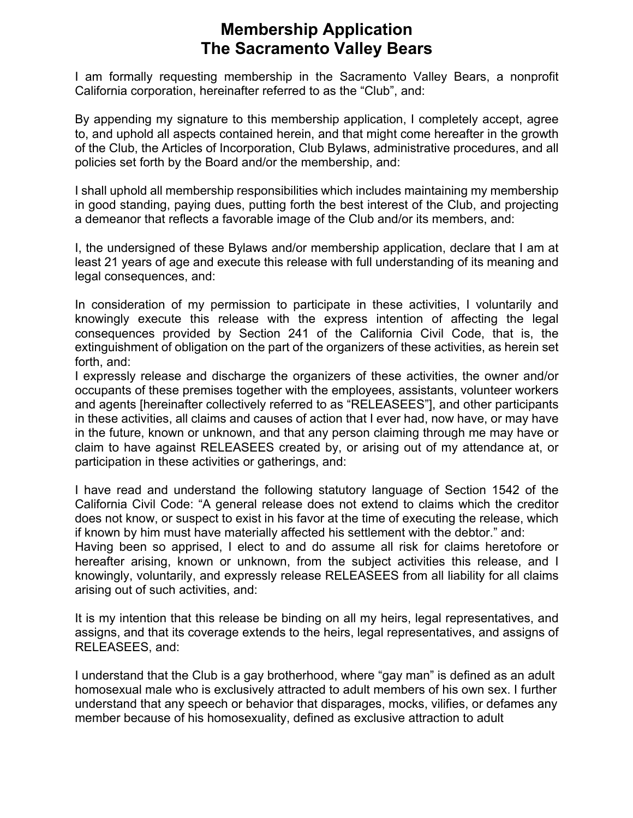## **Membership Application The Sacramento Valley Bears**

I am formally requesting membership in the Sacramento Valley Bears, a nonprofit California corporation, hereinafter referred to as the "Club", and:

By appending my signature to this membership application, I completely accept, agree to, and uphold all aspects contained herein, and that might come hereafter in the growth of the Club, the Articles of Incorporation, Club Bylaws, administrative procedures, and all policies set forth by the Board and/or the membership, and:

I shall uphold all membership responsibilities which includes maintaining my membership in good standing, paying dues, putting forth the best interest of the Club, and projecting a demeanor that reflects a favorable image of the Club and/or its members, and:

I, the undersigned of these Bylaws and/or membership application, declare that I am at least 21 years of age and execute this release with full understanding of its meaning and legal consequences, and:

In consideration of my permission to participate in these activities, I voluntarily and knowingly execute this release with the express intention of affecting the legal consequences provided by Section 241 of the California Civil Code, that is, the extinguishment of obligation on the part of the organizers of these activities, as herein set forth, and:

I expressly release and discharge the organizers of these activities, the owner and/or occupants of these premises together with the employees, assistants, volunteer workers and agents [hereinafter collectively referred to as "RELEASEES"], and other participants in these activities, all claims and causes of action that I ever had, now have, or may have in the future, known or unknown, and that any person claiming through me may have or claim to have against RELEASEES created by, or arising out of my attendance at, or participation in these activities or gatherings, and:

I have read and understand the following statutory language of Section 1542 of the California Civil Code: "A general release does not extend to claims which the creditor does not know, or suspect to exist in his favor at the time of executing the release, which if known by him must have materially affected his settlement with the debtor." and:

Having been so apprised, I elect to and do assume all risk for claims heretofore or hereafter arising, known or unknown, from the subject activities this release, and I knowingly, voluntarily, and expressly release RELEASEES from all liability for all claims arising out of such activities, and:

It is my intention that this release be binding on all my heirs, legal representatives, and assigns, and that its coverage extends to the heirs, legal representatives, and assigns of RELEASEES, and:

I understand that the Club is a gay brotherhood, where "gay man" is defined as an adult homosexual male who is exclusively attracted to adult members of his own sex. I further understand that any speech or behavior that disparages, mocks, vilifies, or defames any member because of his homosexuality, defined as exclusive attraction to adult